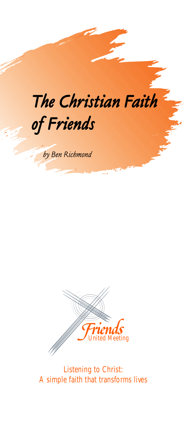



Listening to Christ: A simple faith that transforms lives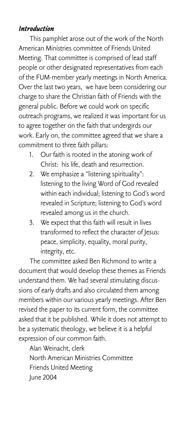## *Introduction*

This pamphlet arose out of the work of the North American Ministries committee of Friends United Meeting. That committee is comprised of lead staff people or other designated representatives from each of the FUM-member yearly meetings in North America. Over the last two years, we have been considering our charge to share the Christian faith of Friends with the general public. Before we could work on specific outreach programs, we realized it was important for us to agree together on the faith that undergirds our work. Early on, the committee agreed that we share a commitment to three faith pillars:

- 1. Our faith is rooted in the atoning work of Christ: his life, death and resurrection.
- 2. We emphasize a "listening spirituality": listening to the living Word of God revealed within each individual; listening to God's word revealed in Scripture; listening to God's word revealed among us in the church.
- 3. We expect that this faith will result in lives transformed to reflect the character of Jesus: peace, simplicity, equality, moral purity, integrity, etc.

The committee asked Ben Richmond to write a document that would develop these themes as Friends understand them. We had several stimulating discussions of early drafts and also circulated them among members within our various yearly meetings. After Ben revised the paper to its current form, the committee asked that it be published. While it does not attempt to be a systematic theology, we believe it is a helpful expression of our common faith.

Alan Weinacht, clerk North American Ministries Committee Friends United Meeting June 2004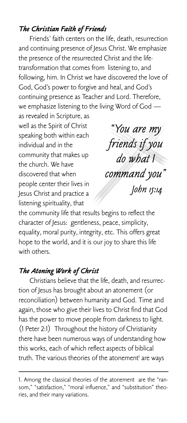## *The Christian Faith of Friends*

Friends' faith centers on the life, death, resurrection and continuing presence of Jesus Christ. We emphasize the presence of the resurrected Christ and the lifetransformation that comes from listening to, and following, him. In Christ we have discovered the love of God, God's power to forgive and heal, and God's continuing presence as Teacher and Lord. Therefore, we emphasize listening to the living Word of God —

as revealed in Scripture, as well as the Spirit of Christ speaking both within each individual and in the community that makes up the church. We have discovered that when people center their lives in Jesus Christ and practice a listening spirituality, that

*"You are my friends if you do what I command you" John 15:14*

the community life that results begins to reflect the character of Jesus: gentleness, peace, simplicity, equality, moral purity, integrity, etc. This offers great hope to the world, and it is our joy to share this life with others.

## *The Atoning Work of Christ*

Christians believe that the life, death, and resurrection of Jesus has brought about an atonement (or reconciliation) between humanity and God. Time and again, those who give their lives to Christ find that God has the power to move people from darkness to light. (1 Peter 2:1) Throughout the history of Christianity there have been numerous ways of understanding how this works, each of which reflect aspects of biblical truth. The various theories of the atonement<sup>1</sup> are ways

<sup>1.</sup> Among the classical theories of the atonement are the "ransom," "satisfaction," "moral influence," and "substitution" theories, and their many variations.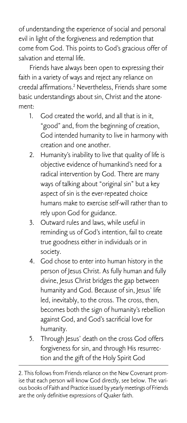of understanding the experience of social and personal evil in light of the forgiveness and redemption that come from God. This points to God's gracious offer of salvation and eternal life.

Friends have always been open to expressing their faith in a variety of ways and reject any reliance on creedal affirmations.2 Nevertheless, Friends share some basic understandings about sin, Christ and the atonement:

- 1. God created the world, and all that is in it, "good" and, from the beginning of creation, God intended humanity to live in harmony with creation and one another.
- 2. Humanity's inability to live that quality of life is objective evidence of humankind's need for a radical intervention by God. There are many ways of talking about "original sin" but a key aspect of sin is the ever-repeated choice humans make to exercise self-will rather than to rely upon God for guidance.
- 3. Outward rules and laws, while useful in reminding us of God's intention, fail to create true goodness either in individuals or in society.
- 4. God chose to enter into human history in the person of Jesus Christ. As fully human and fully divine, Jesus Christ bridges the gap between humanity and God. Because of sin, Jesus' life led, inevitably, to the cross. The cross, then, becomes both the sign of humanity's rebellion against God, and God's sacrificial love for humanity.
- 5. Through Jesus' death on the cross God offers forgiveness for sin, and through His resurrection and the gift of the Holy Spirit God

<sup>2.</sup> This follows from Friends reliance on the New Covenant promise that each person will know God directly, see below. The various books of Faith and Practice issued by yearly meetings of Friends are the only definitive expressions of Quaker faith.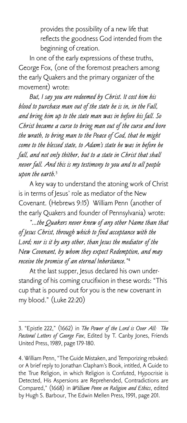provides the possibility of a new life that reflects the goodness God intended from the beginning of creation.

In one of the early expressions of these truths, George Fox, (one of the foremost preachers among the early Quakers and the primary organizer of the movement) wrote:

*But, I say you are redeemed by Christ. It cost him his blood to purchase man out of the state he is in, in the Fall, and bring him up to the state man was in before his fall. So Christ became a curse to bring man out of the curse and bore the wrath, to bring man to the Peace of God, that he might come to the blessed state, to Adam's state he was in before he fall, and not only thither, but to a state in Christ that shall never fall. And this is my testimony to you and to all people upon the earth.*<sup>3</sup>

A key way to understand the atoning work of Christ is in terms of Jesus' role as mediator of the New Covenant. (Hebrews 9:15) William Penn (another of the early Quakers and founder of Pennsylvania) wrote:

*"...the Quakers never knew of any other Name than that of Jesus Christ, through which to find acceptance with the Lord; nor is it by any other, than Jesus the mediator of the New Covenant, by whom they expect Redemption, and may receive the promise of an eternal Inheritance."*<sup>4</sup>

At the last supper, Jesus declared his own understanding of his coming crucifixion in these words: "This cup that is poured out for you is the new covenant in my blood." (Luke 22:20)

3. "Epistle 222," (1662) in *The Power of the Lord is Over All: The Pastoral Letters of George Fox*, Edited by T. Canby Jones, Friends United Press, 1989, page 179-180.

4. William Penn, "The Guide Mistaken, and Temporizing rebuked: or A brief reply to Jonathan Clapham's Book, intitled, A Guide to the True Religion, in which Religion is Confuted, Hypocrisie is Detected, His Aspersions are Reprehended, Contradictions are Compared," (1668) in *William Penn on Religion and Ethics*, edited by Hugh S. Barbour, The Edwin Mellen Press, 1991, page 201.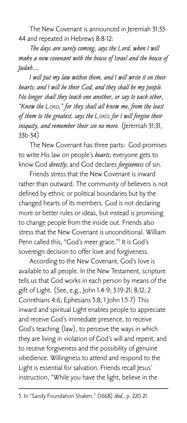The New Covenant is announced in Jeremiah 31:33- 44 and repeated in Hebrews 8:8-12:

*The days are surely coming, says the Lord, when I will make a new covenant with the house of Israel and the house of Judah....*

*I will put my law within them, and I will write it on their hearts; and I will be their God, and they shall be my people. No longer shall they teach one another, or say to each other, "Know the LORD," for they shall all know me, from the least of them to the greatest, says the LORD; for I will forgive their iniquity, and remember their sin no more.* (Jeremiah 31:31, 33b-34)

The New Covenant has three parts: God promises to write His law on people's *hearts*; everyone gets to know God *directly*; and God declares *forgiveness* of sin.

Friends stress that the New Covenant is inward rather than outward. The community of believers is not defined by ethnic or political boundaries but by the changed hearts of its members. God is not declaring more or better rules or ideas, but instead is promising to change people from the inside out. Friends also stress that the New Covenant is unconditional. William Penn called this, "God's meer grace."5 It is God's sovereign decision to offer love and forgiveness.

According to the New Covenant, God's love is available to all people. In the New Testament, scripture tells us that God works in each person by means of the gift of Light. (See, e.g., John 1:4-9; 3:19-21; 8:12; 2 Corinthians 4:6; Ephesians 5:8; 1 John 1:5-7) This inward and spiritual Light enables people to appreciate and receive God's immediate presence, to receive God's teaching (law), to perceive the ways in which they are living in violation of God's will and repent, and to receive forgiveness and the possibility of genuine obedience. Willingness to attend and respond to the Light is essential for salvation. Friends recall Jesus' instruction, "While you have the light, believe in the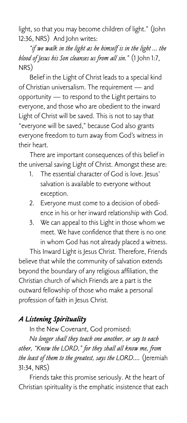light, so that you may become children of light." (John 12:36, NRS) And John writes:

*"if we walk in the light as he himself is in the light ... the blood of Jesus his Son cleanses us from all sin."* (1 John 1:7, NRS)

Belief in the Light of Christ leads to a special kind of Christian universalism. The requirement — and opportunity — to respond to the Light pertains to everyone, and those who are obedient to the inward Light of Christ will be saved. This is not to say that "everyone will be saved," because God also grants everyone freedom to turn away from God's witness in their heart.

There are important consequences of this belief in the universal saving Light of Christ. Amongst these are:

- 1. The essential character of God is love. Jesus' salvation is available to everyone without exception.
- 2. Everyone must come to a decision of obedience in his or her inward relationship with God.
- 3. We can appeal to this Light in those whom we meet. We have confidence that there is no one in whom God has not already placed a witness.

This Inward Light is Jesus Christ. Therefore, Friends believe that while the community of salvation extends beyond the boundary of any religious affiliation, the Christian church of which Friends are a part is the outward fellowship of those who make a personal profession of faith in Jesus Christ.

## *A Listening Spirituality*

In the New Covenant, God promised:

*No longer shall they teach one another, or say to each other, "Know the LORD," for they shall all know me, from the least of them to the greatest, says the LORD....* (Jeremiah 31:34, NRS)

Friends take this promise seriously. At the heart of Christian spirituality is the emphatic insistence that each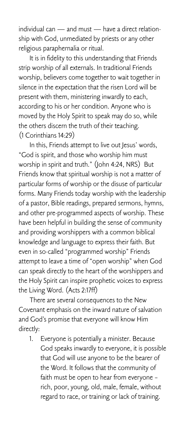individual can — and must — have a direct relationship with God, unmediated by priests or any other religious paraphernalia or ritual.

It is in fidelity to this understanding that Friends strip worship of all externals. In traditional Friends worship, believers come together to wait together in silence in the expectation that the risen Lord will be present with them, ministering inwardly to each, according to his or her condition. Anyone who is moved by the Holy Spirit to speak may do so, while the others discern the truth of their teaching. (1 Corinthians 14:29)

In this, Friends attempt to live out Jesus' words, "God is spirit, and those who worship him must worship in spirit and truth." (John 4:24, NRS) But Friends know that spiritual worship is not a matter of particular forms of worship or the disuse of particular forms. Many Friends today worship with the leadership of a pastor, Bible readings, prepared sermons, hymns, and other pre-programmed aspects of worship. These have been helpful in building the sense of community and providing worshippers with a common biblical knowledge and language to express their faith. But even in so-called "programmed worship" Friends attempt to leave a time of "open worship" when God can speak directly to the heart of the worshippers and the Holy Spirit can inspire prophetic voices to express the Living Word. (Acts 2:17ff)

There are several consequences to the New Covenant emphasis on the inward nature of salvation and God's promise that everyone will know Him directly:

1. Everyone is potentially a minister. Because God speaks inwardly to everyone, it is possible that God will use anyone to be the bearer of the Word. It follows that the community of faith must be open to hear from everyone – rich, poor, young, old, male, female, without regard to race, or training or lack of training.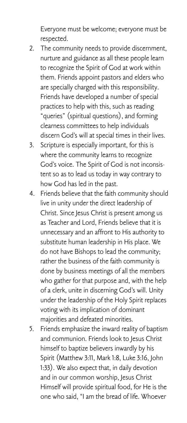Everyone must be welcome; everyone must be respected.

- 2. The community needs to provide discernment, nurture and guidance as all these people learn to recognize the Spirit of God at work within them. Friends appoint pastors and elders who are specially charged with this responsibility. Friends have developed a number of special practices to help with this, such as reading "queries" (spiritual questions), and forming clearness committees to help individuals discern God's will at special times in their lives.
- 3. Scripture is especially important, for this is where the community learns to recognize God's voice. The Spirit of God is not inconsistent so as to lead us today in way contrary to how God has led in the past.
- 4. Friends believe that the faith community should live in unity under the direct leadership of Christ. Since Jesus Christ is present among us as Teacher and Lord, Friends believe that it is unnecessary and an affront to His authority to substitute human leadership in His place. We do not have Bishops to lead the community; rather the business of the faith community is done by business meetings of all the members who gather for that purpose and, with the help of a clerk, unite in discerning God's will. Unity under the leadership of the Holy Spirit replaces voting with its implication of dominant majorities and defeated minorities.
- 5. Friends emphasize the inward reality of baptism and communion. Friends look to Jesus Christ himself to baptize believers inwardly by his Spirit (Matthew 3:11, Mark 1:8, Luke 3:16, John 1:33). We also expect that, in daily devotion and in our common worship, Jesus Christ Himself will provide spiritual food, for He is the one who said, "I am the bread of life. Whoever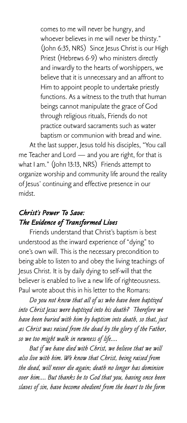comes to me will never be hungry, and whoever believes in me will never be thirsty." (John 6:35, NRS) Since Jesus Christ is our High Priest (Hebrews 6-9) who ministers directly and inwardly to the hearts of worshippers, we believe that it is unnecessary and an affront to Him to appoint people to undertake priestly functions. As a witness to the truth that human beings cannot manipulate the grace of God through religious rituals, Friends do not practice outward sacraments such as water baptism or communion with bread and wine.

At the last supper, Jesus told his disciples, "You call me Teacher and Lord — and you are right, for that is what I am." (John 13:13, NRS) Friends attempt to organize worship and community life around the reality of Jesus' continuing and effective presence in our midst.

# *Christ's Power To Save: The Evidence of Transformed Lives*

Friends understand that Christ's baptism is best understood as the inward experience of "dying" to one's own will. This is the necessary precondition to being able to listen to and obey the living teachings of Jesus Christ. It is by daily dying to self-will that the believer is enabled to live a new life of righteousness. Paul wrote about this in his letter to the Romans:

*Do you not know that all of us who have been baptized into Christ Jesus were baptized into his death? Therefore we have been buried with him by baptism into death, so that, just as Christ was raised from the dead by the glory of the Father, so we too might walk in newness of life....*

*But if we have died with Christ, we believe that we will also live with him. We know that Christ, being raised from the dead, will never die again; death no longer has dominion over him.... But thanks be to God that you, having once been slaves of sin, have become obedient from the heart to the form*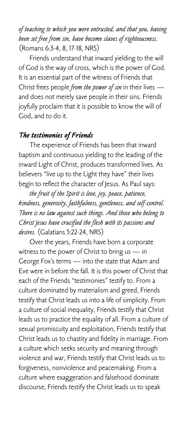*of teaching to which you were entrusted, and that you, having been set free from sin, have become slaves of righteousness.* (Romans 6:3-4, 8, 17-18, NRS)

Friends understand that inward yielding to the will of God is the way of cross, which is the power of God. It is an essential part of the witness of Friends that Christ frees people *from the power of sin* in their lives and does not merely save people in their sins. Friends joyfully proclaim that it is possible to know the will of God, and to do it.

#### *The testimonies of Friends*

The experience of Friends has been that inward baptism and continuous yielding to the leading of the inward Light of Christ, produces transformed lives. As believers "live up to the Light they have" their lives begin to reflect the character of Jesus. As Paul says:

*the fruit of the Spirit is love, joy, peace, patience, kindness, generosity, faithfulness, gentleness, and self-control. There is no law against such things. And those who belong to Christ Jesus have crucified the flesh with its passions and desires.* (Galatians 5:22-24, NRS)

Over the years, Friends have born a corporate witness to the power of Christ to bring us — in George Fox's terms — into the state that Adam and Eve were in before the fall. It is this power of Christ that each of the Friends "testimonies" testify to. From a culture dominated by materialism and greed, Friends testify that Christ leads us into a life of simplicity. From a culture of social inequality, Friends testify that Christ leads us to practice the equality of all. From a culture of sexual promiscuity and exploitation, Friends testify that Christ leads us to chastity and fidelity in marriage. From a culture which seeks security and meaning through violence and war, Friends testify that Christ leads us to forgiveness, nonviolence and peacemaking. From a culture where exaggeration and falsehood dominate discourse, Friends testify the Christ leads us to speak